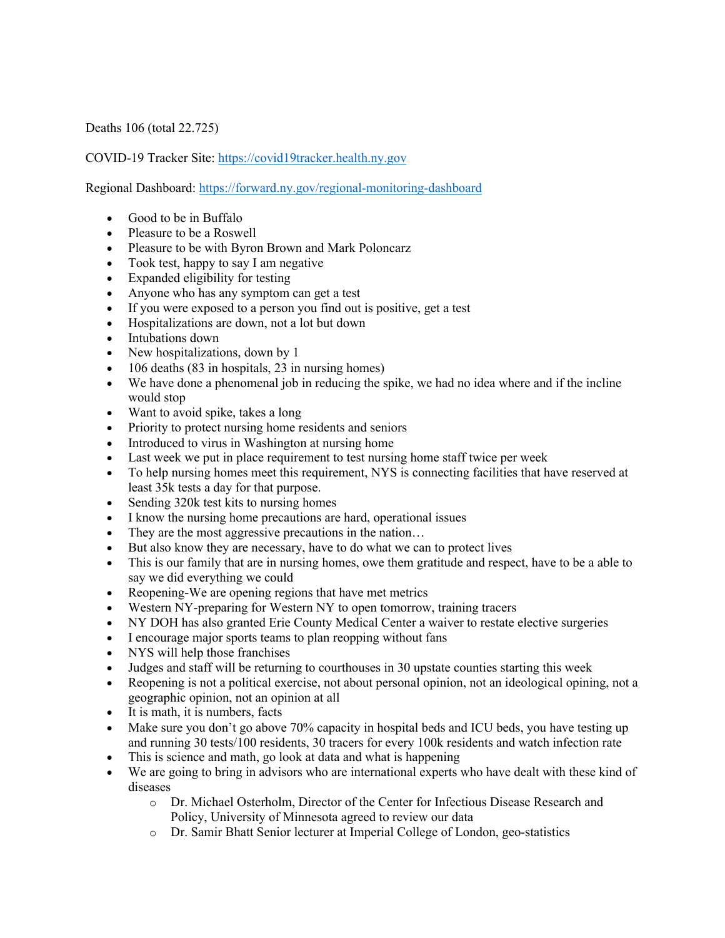Deaths 106 (total 22.725)

COVID-19 Tracker Site: https://covid19tracker.health.ny.gov

Regional Dashboard: https://forward.ny.gov/regional-monitoring-dashboard

- Good to be in Buffalo
- Pleasure to be a Roswell
- Pleasure to be with Byron Brown and Mark Poloncarz
- Took test, happy to say I am negative
- Expanded eligibility for testing
- Anyone who has any symptom can get a test
- If you were exposed to a person you find out is positive, get a test
- Hospitalizations are down, not a lot but down
- Intubations down
- New hospitalizations, down by 1
- 106 deaths (83 in hospitals, 23 in nursing homes)
- We have done a phenomenal job in reducing the spike, we had no idea where and if the incline would stop
- Want to avoid spike, takes a long
- Priority to protect nursing home residents and seniors
- Introduced to virus in Washington at nursing home
- Last week we put in place requirement to test nursing home staff twice per week
- To help nursing homes meet this requirement, NYS is connecting facilities that have reserved at least 35k tests a day for that purpose.
- Sending 320k test kits to nursing homes
- I know the nursing home precautions are hard, operational issues
- They are the most aggressive precautions in the nation...
- But also know they are necessary, have to do what we can to protect lives
- This is our family that are in nursing homes, owe them gratitude and respect, have to be a able to say we did everything we could
- Reopening-We are opening regions that have met metrics
- Western NY-preparing for Western NY to open tomorrow, training tracers
- NY DOH has also granted Erie County Medical Center a waiver to restate elective surgeries
- I encourage major sports teams to plan reopping without fans
- NYS will help those franchises
- Judges and staff will be returning to courthouses in 30 upstate counties starting this week
- Reopening is not a political exercise, not about personal opinion, not an ideological opining, not a geographic opinion, not an opinion at all
- It is math, it is numbers, facts
- Make sure you don't go above 70% capacity in hospital beds and ICU beds, you have testing up and running 30 tests/100 residents, 30 tracers for every 100k residents and watch infection rate
- This is science and math, go look at data and what is happening
- We are going to bring in advisors who are international experts who have dealt with these kind of diseases
	- o Dr. Michael Osterholm, Director of the Center for Infectious Disease Research and Policy, University of Minnesota agreed to review our data
	- o Dr. Samir Bhatt Senior lecturer at Imperial College of London, geo-statistics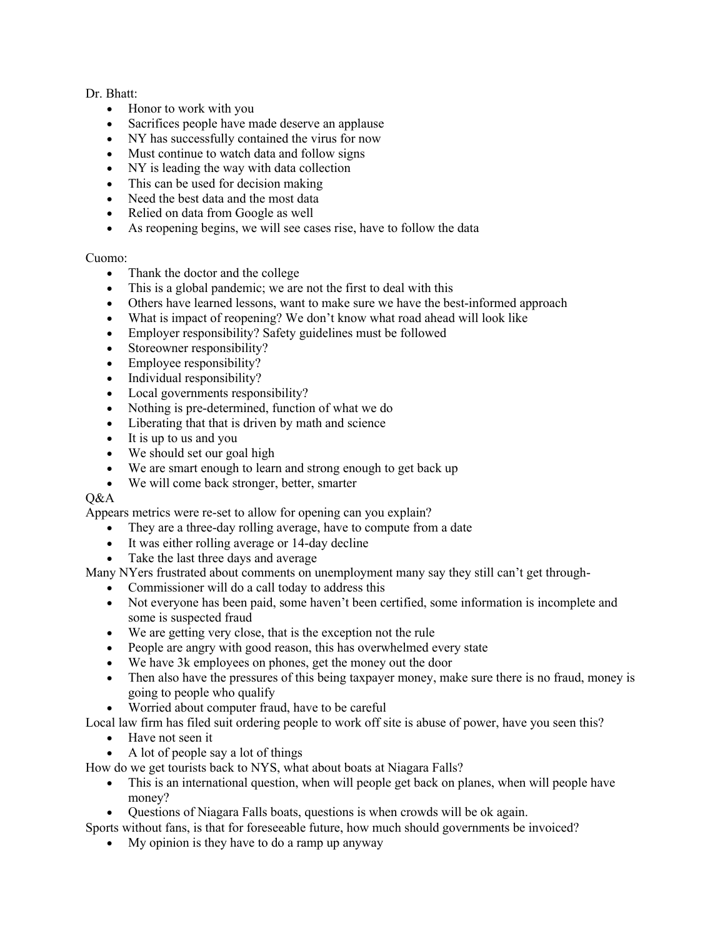Dr. Bhatt:

- Honor to work with you
- Sacrifices people have made deserve an applause
- NY has successfully contained the virus for now
- Must continue to watch data and follow signs
- NY is leading the way with data collection
- This can be used for decision making
- Need the best data and the most data
- Relied on data from Google as well
- As reopening begins, we will see cases rise, have to follow the data

## Cuomo:

- Thank the doctor and the college
- This is a global pandemic; we are not the first to deal with this
- Others have learned lessons, want to make sure we have the best-informed approach
- What is impact of reopening? We don't know what road ahead will look like
- Employer responsibility? Safety guidelines must be followed
- Storeowner responsibility?
- Employee responsibility?
- Individual responsibility?
- Local governments responsibility?
- Nothing is pre-determined, function of what we do
- Liberating that that is driven by math and science
- It is up to us and you
- We should set our goal high
- We are smart enough to learn and strong enough to get back up
- We will come back stronger, better, smarter

## $O&A$

Appears metrics were re-set to allow for opening can you explain?

- They are a three-day rolling average, have to compute from a date
- It was either rolling average or 14-day decline
- Take the last three days and average

Many NYers frustrated about comments on unemployment many say they still can't get through-

- Commissioner will do a call today to address this
- Not everyone has been paid, some haven't been certified, some information is incomplete and some is suspected fraud
- We are getting very close, that is the exception not the rule
- People are angry with good reason, this has overwhelmed every state
- We have 3k employees on phones, get the money out the door
- Then also have the pressures of this being taxpayer money, make sure there is no fraud, money is going to people who qualify
- Worried about computer fraud, have to be careful

Local law firm has filed suit ordering people to work off site is abuse of power, have you seen this?

- Have not seen it
- A lot of people say a lot of things

How do we get tourists back to NYS, what about boats at Niagara Falls?

- This is an international question, when will people get back on planes, when will people have money?
- Questions of Niagara Falls boats, questions is when crowds will be ok again.

Sports without fans, is that for foreseeable future, how much should governments be invoiced?

• My opinion is they have to do a ramp up anyway